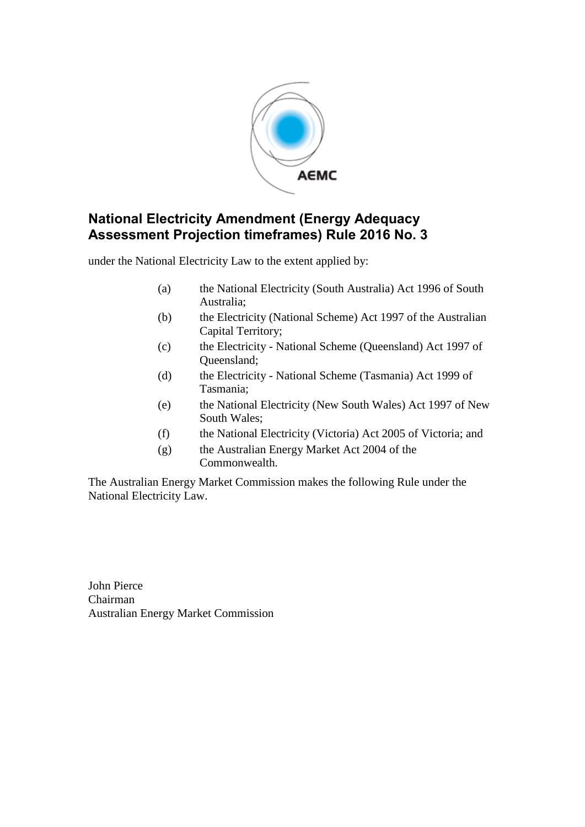

under the National Electricity Law to the extent applied by:

- (a) the National Electricity (South Australia) Act 1996 of South Australia;
- (b) the Electricity (National Scheme) Act 1997 of the Australian Capital Territory;
- (c) the Electricity National Scheme (Queensland) Act 1997 of Queensland;
- (d) the Electricity National Scheme (Tasmania) Act 1999 of Tasmania;
- (e) the National Electricity (New South Wales) Act 1997 of New South Wales;
- (f) the National Electricity (Victoria) Act 2005 of Victoria; and
- (g) the Australian Energy Market Act 2004 of the Commonwealth.

The Australian Energy Market Commission makes the following Rule under the National Electricity Law.

John Pierce Chairman Australian Energy Market Commission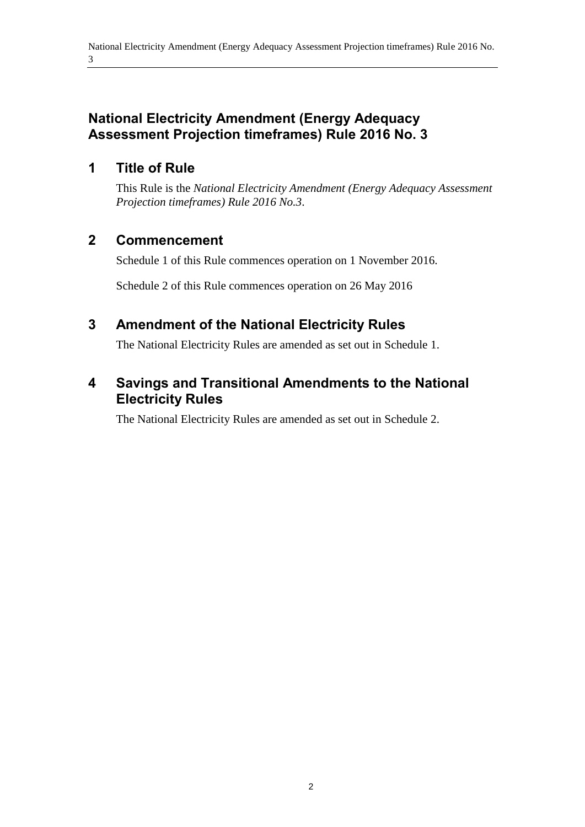## **1 Title of Rule**

This Rule is the *National Electricity Amendment (Energy Adequacy Assessment Projection timeframes) Rule 2016 No.3*.

## **2 Commencement**

Schedule 1 of this Rule commences operation on 1 November 2016.

Schedule 2 of this Rule commences operation on 26 May 2016

# <span id="page-1-0"></span>**3 Amendment of the National Electricity Rules**

The National Electricity Rules are amended as set out in [Schedule 1.](#page-2-0)

# <span id="page-1-1"></span>**4 Savings and Transitional Amendments to the National Electricity Rules**

The National Electricity Rules are amended as set out in [Schedule 2.](#page-4-0)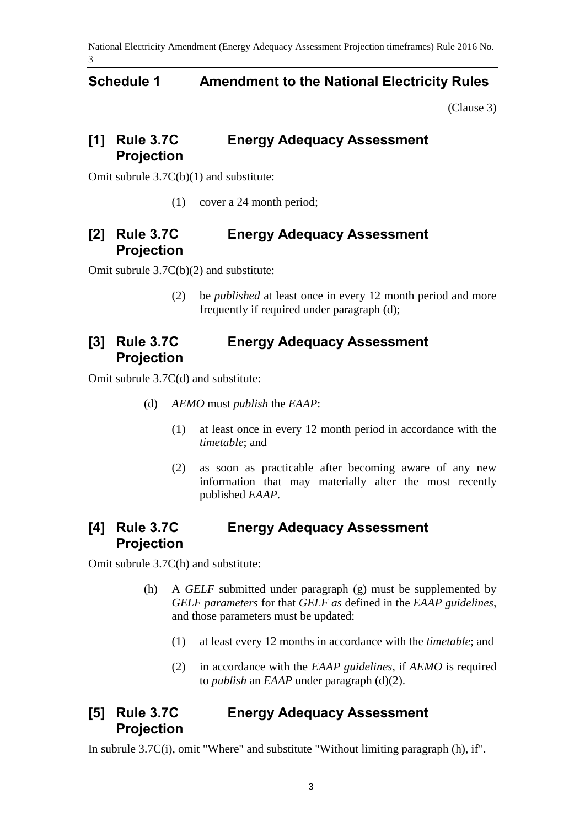#### <span id="page-2-0"></span>**Schedule 1 Amendment to the National Electricity Rules**

[\(Clause 3\)](#page-1-0)

#### **[1] Rule 3.7C Energy Adequacy Assessment Projection**

Omit subrule 3.7C(b)(1) and substitute:

(1) cover a 24 month period;

#### **[2] Rule 3.7C Energy Adequacy Assessment Projection**

Omit subrule 3.7C(b)(2) and substitute:

(2) be *published* at least once in every 12 month period and more frequently if required under paragraph (d);

## **[3] Rule 3.7C Energy Adequacy Assessment Projection**

Omit subrule 3.7C(d) and substitute:

- (d) *AEMO* must *publish* the *EAAP*:
	- (1) at least once in every 12 month period in accordance with the *timetable*; and
	- (2) as soon as practicable after becoming aware of any new information that may materially alter the most recently published *EAAP*.

## **[4] Rule 3.7C Energy Adequacy Assessment Projection**

Omit subrule 3.7C(h) and substitute:

- (h) A *GELF* submitted under paragraph (g) must be supplemented by *GELF parameters* for that *GELF as* defined in the *EAAP guidelines*, and those parameters must be updated:
	- (1) at least every 12 months in accordance with the *timetable*; and
	- (2) in accordance with the *EAAP guidelines*, if *AEMO* is required to *publish* an *EAAP* under paragraph (d)(2).

## **[5] Rule 3.7C Energy Adequacy Assessment Projection**

In subrule 3.7C(i), omit "Where" and substitute "Without limiting paragraph (h), if".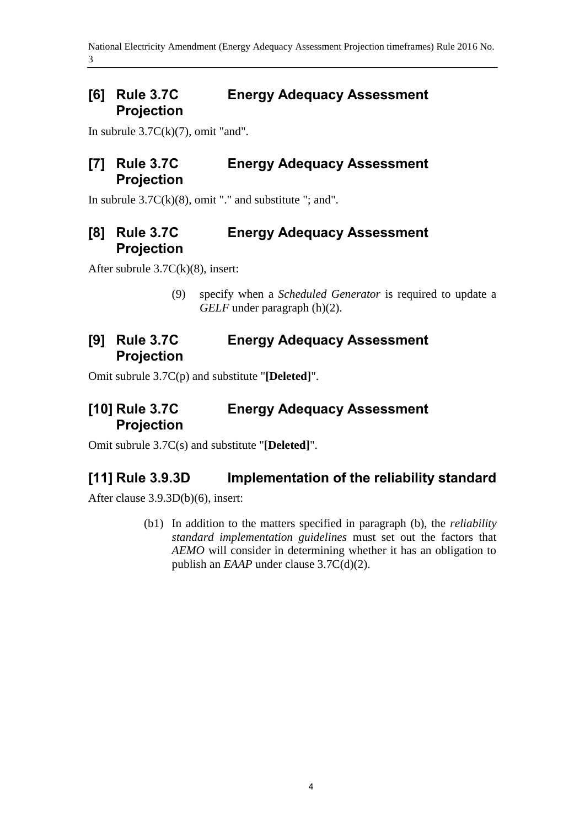#### **[6] Rule 3.7C Energy Adequacy Assessment Projection**

In subrule  $3.7C(k)(7)$ , omit "and".

#### **[7] Rule 3.7C Energy Adequacy Assessment Projection**

In subrule  $3.7C(k)(8)$ , omit "." and substitute "; and".

## **[8] Rule 3.7C Energy Adequacy Assessment Projection**

After subrule 3.7C(k)(8), insert:

(9) specify when a *Scheduled Generator* is required to update a *GELF* under paragraph (h)(2).

## **[9] Rule 3.7C Energy Adequacy Assessment Projection**

Omit subrule 3.7C(p) and substitute "**[Deleted]**".

## **[10] Rule 3.7C Energy Adequacy Assessment Projection**

Omit subrule 3.7C(s) and substitute "**[Deleted]**".

## **[11] Rule 3.9.3D Implementation of the reliability standard**

After clause 3.9.3D(b)(6), insert:

(b1) In addition to the matters specified in paragraph (b), the *reliability standard implementation guidelines* must set out the factors that *AEMO* will consider in determining whether it has an obligation to publish an *EAAP* under clause 3.7C(d)(2).